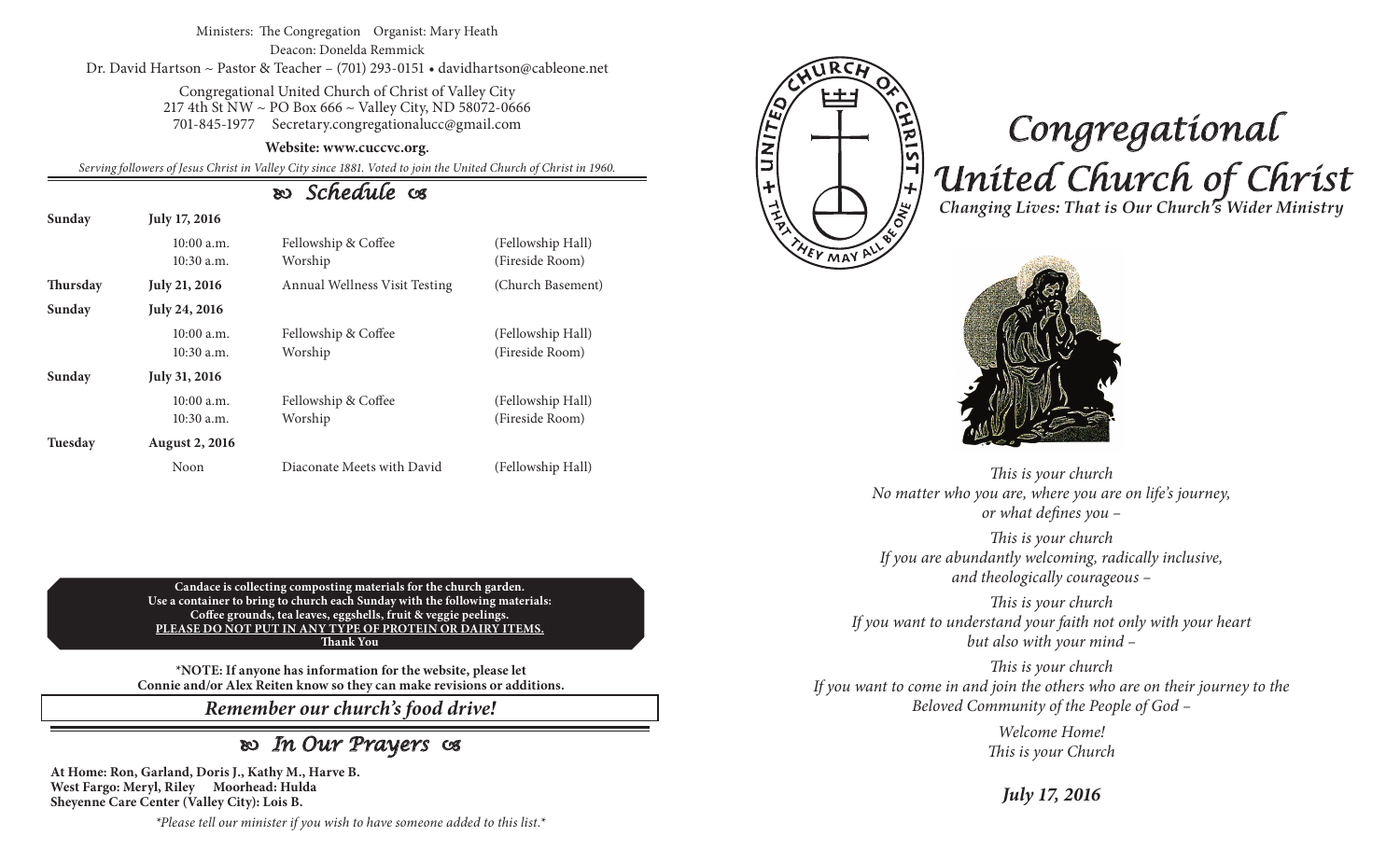#### Ministers: The Congregation Organist: Mary Heath Deacon: Donelda Remmick Dr. David Hartson ~ Pastor & Teacher – (701) 293-0151 • davidhartson@cableone.net

Congregational United Church of Christ of Valley City 217 4th St NW ~ PO Box 666 ~ Valley City, ND 58072-0666 701-845-1977 Secretary.congregationalucc@gmail.com

#### **Website: www.cuccvc.org.**

*Serving followers of Jesus Christ in Valley City since 1881. Voted to join the United Church of Christ in 1960.*

## *Schedule*

| Sunday          | July 17, 2016                |                                |                                      |
|-----------------|------------------------------|--------------------------------|--------------------------------------|
|                 | $10:00$ a.m.<br>10:30 a.m.   | Fellowship & Coffee<br>Worship | (Fellowship Hall)<br>(Fireside Room) |
| <b>Thursday</b> | <b>July 21, 2016</b>         | Annual Wellness Visit Testing  | (Church Basement)                    |
| Sunday          | July 24, 2016                |                                |                                      |
|                 | $10:00$ a.m.<br>10:30 a.m.   | Fellowship & Coffee<br>Worship | (Fellowship Hall)<br>(Fireside Room) |
| Sunday          | July 31, 2016                |                                |                                      |
|                 | $10:00$ a.m.<br>$10:30$ a.m. | Fellowship & Coffee<br>Worship | (Fellowship Hall)<br>(Fireside Room) |
| Tuesday         | <b>August 2, 2016</b>        |                                |                                      |
|                 | Noon                         | Diaconate Meets with David     | (Fellowship Hall)                    |

**Candace is collecting composting materials for the church garden. Use a container to bring to church each Sunday with the following materials: Coffee grounds, tea leaves, eggshells, fruit & veggie peelings. PLEASE DO NOT PUT IN ANY TYPE OF PROTEIN OR DAIRY ITEMS. Thank You**

**\*NOTE: If anyone has information for the website, please let Connie and/or Alex Reiten know so they can make revisions or additions.**

*Remember our church's food drive!*

# *In Our Prayers*

**At Home: Ron, Garland, Doris J., Kathy M., Harve B. West Fargo: Meryl, Riley Moorhead: Hulda Sheyenne Care Center (Valley City): Lois B.**

FUNITE <u>HRIST + 1200</u>

EY MAY

# *Congregational United Church of Christ Changing Lives: That is Our Church's Wider Ministry*



*This is your church No matter who you are, where you are on life's journey, or what defines you –*

*This is your church If you are abundantly welcoming, radically inclusive, and theologically courageous –*

*This is your church If you want to understand your faith not only with your heart but also with your mind –*

*This is your church If you want to come in and join the others who are on their journey to the Beloved Community of the People of God –*

> *Welcome Home! This is your Church*

> > *July 17, 2016*

*\*Please tell our minister if you wish to have someone added to this list.\**